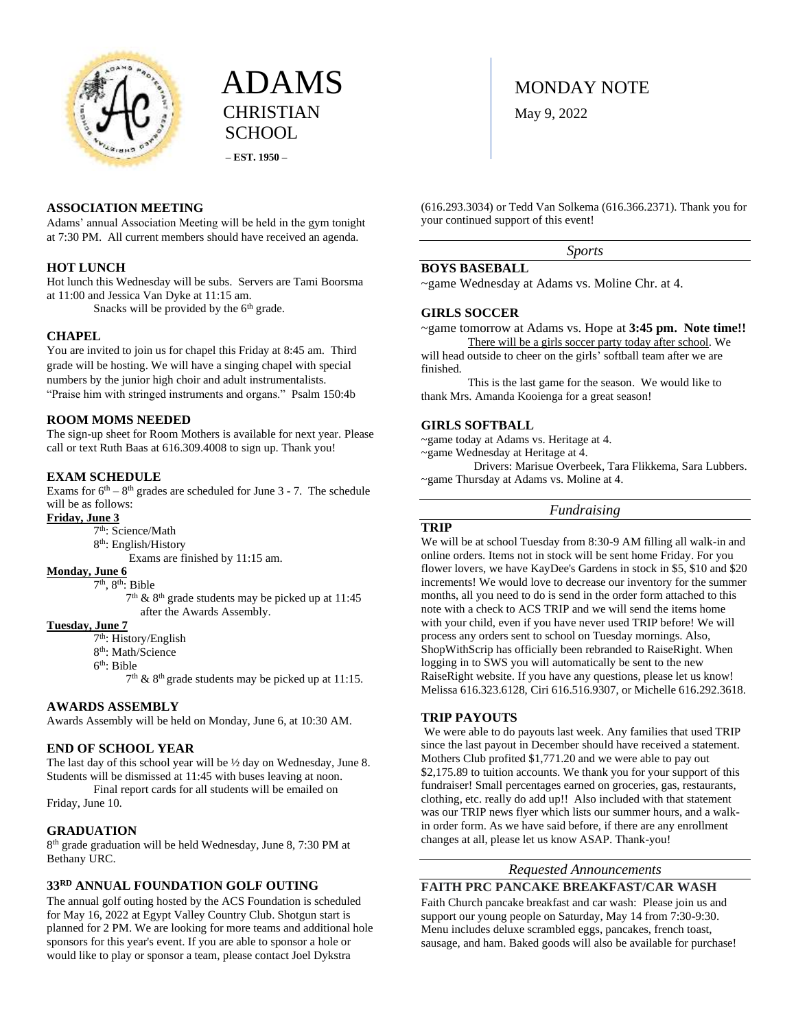



# **ASSOCIATION MEETING**

Adams' annual Association Meeting will be held in the gym tonight at 7:30 PM. All current members should have received an agenda.

### **HOT LUNCH**

Hot lunch this Wednesday will be subs. Servers are Tami Boorsma at 11:00 and Jessica Van Dyke at 11:15 am.

Snacks will be provided by the  $6<sup>th</sup>$  grade.

## **CHAPEL**

You are invited to join us for chapel this Friday at 8:45 am. Third grade will be hosting. We will have a singing chapel with special numbers by the junior high choir and adult instrumentalists. "Praise him with stringed instruments and organs." Psalm 150:4b

#### **ROOM MOMS NEEDED**

The sign-up sheet for Room Mothers is available for next year. Please call or text Ruth Baas at 616.309.4008 to sign up. Thank you!

# **EXAM SCHEDULE**

Exams for  $6<sup>th</sup> - 8<sup>th</sup>$  grades are scheduled for June 3 - 7. The schedule will be as follows:

**Friday, June 3** 

- 7<sup>th</sup>: Science/Math
- 8 th: English/History
	- Exams are finished by 11:15 am.

#### **Monday, June 6**

7<sup>th</sup>, 8<sup>th</sup>: Bible

 7  $7<sup>th</sup>$  & 8<sup>th</sup> grade students may be picked up at 11:45 after the Awards Assembly.

#### **Tuesday, June 7**

7 th: History/English

- 8<sup>th</sup>: Math/Science
- 6 th: Bible

 $7<sup>th</sup>$  &  $8<sup>th</sup>$  grade students may be picked up at 11:15.

## **AWARDS ASSEMBLY**

Awards Assembly will be held on Monday, June 6, at 10:30 AM.

### **END OF SCHOOL YEAR**

The last day of this school year will be ½ day on Wednesday, June 8. Students will be dismissed at 11:45 with buses leaving at noon.

Final report cards for all students will be emailed on Friday, June 10.

#### **GRADUATION**

8 th grade graduation will be held Wednesday, June 8, 7:30 PM at Bethany URC.

# **33RD ANNUAL FOUNDATION GOLF OUTING**

The annual golf outing hosted by the ACS Foundation is scheduled for May 16, 2022 at Egypt Valley Country Club. Shotgun start is planned for 2 PM. We are looking for more teams and additional hole sponsors for this year's event. If you are able to sponsor a hole or would like to play or sponsor a team, please contact Joel Dykstra

(616.293.3034) or Tedd Van Solkema (616.366.2371). Thank you for your continued support of this event!

*Sports*

## **BOYS BASEBALL**

~game Wednesday at Adams vs. Moline Chr. at 4.

### **GIRLS SOCCER**

~game tomorrow at Adams vs. Hope at **3:45 pm. Note time!!** There will be a girls soccer party today after school. We

will head outside to cheer on the girls' softball team after we are finished.

This is the last game for the season. We would like to thank Mrs. Amanda Kooienga for a great season!

#### **GIRLS SOFTBALL**

~game today at Adams vs. Heritage at 4.

~game Wednesday at Heritage at 4.

 Drivers: Marisue Overbeek, Tara Flikkema, Sara Lubbers. ~game Thursday at Adams vs. Moline at 4.

#### *Fundraising*

## **TRIP**

We will be at school Tuesday from 8:30-9 AM filling all walk-in and online orders. Items not in stock will be sent home Friday. For you flower lovers, we have KayDee's Gardens in stock in \$5, \$10 and \$20 increments! We would love to decrease our inventory for the summer months, all you need to do is send in the order form attached to this note with a check to ACS TRIP and we will send the items home with your child, even if you have never used TRIP before! We will process any orders sent to school on Tuesday mornings. Also, ShopWithScrip has officially been rebranded to RaiseRight. When logging in to SWS you will automatically be sent to the new RaiseRight website. If you have any questions, please let us know! Melissa 616.323.6128, Ciri 616.516.9307, or Michelle 616.292.3618.

#### **TRIP PAYOUTS**

We were able to do payouts last week. Any families that used TRIP since the last payout in December should have received a statement. Mothers Club profited \$1,771.20 and we were able to pay out \$2,175.89 to tuition accounts. We thank you for your support of this fundraiser! Small percentages earned on groceries, gas, restaurants, clothing, etc. really do add up!! Also included with that statement was our TRIP news flyer which lists our summer hours, and a walkin order form. As we have said before, if there are any enrollment changes at all, please let us know ASAP. Thank-you!

#### *Requested Announcements*

**FAITH PRC PANCAKE BREAKFAST/CAR WASH**

Faith Church pancake breakfast and car wash: Please join us and support our young people on Saturday, May 14 from 7:30-9:30. Menu includes deluxe scrambled eggs, pancakes, french toast, sausage, and ham. Baked goods will also be available for purchase!